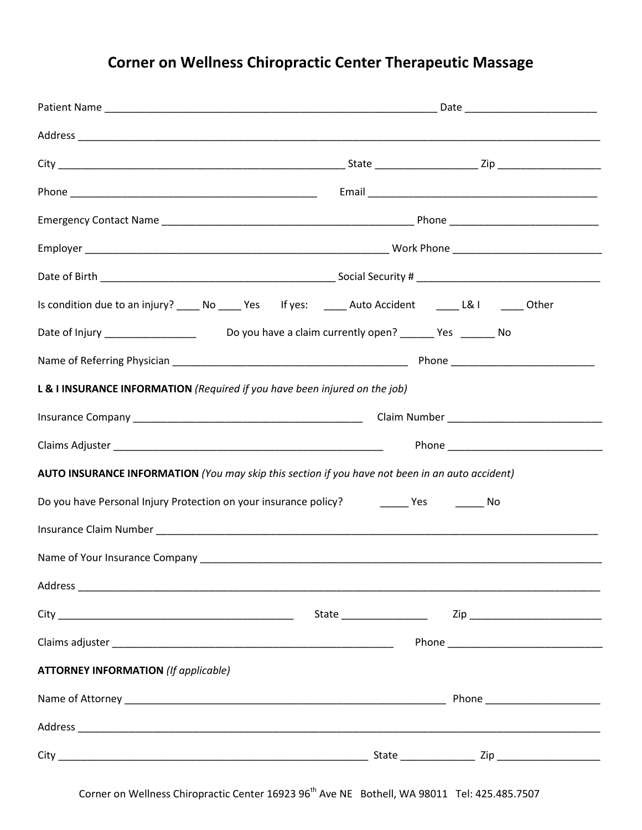# **Corner on Wellness Chiropractic Center Therapeutic Massage**

| Is condition due to an injury? ______ No ______ Yes If yes: _______ Auto Accident _______ L& I ______ Other |                                            |  |  |
|-------------------------------------------------------------------------------------------------------------|--------------------------------------------|--|--|
|                                                                                                             | Do you have a claim currently open? Ves No |  |  |
|                                                                                                             |                                            |  |  |
| L & I INSURANCE INFORMATION (Required if you have been injured on the job)                                  |                                            |  |  |
|                                                                                                             |                                            |  |  |
|                                                                                                             |                                            |  |  |
| AUTO INSURANCE INFORMATION (You may skip this section if you have not been in an auto accident)             |                                            |  |  |
| Do you have Personal Injury Protection on your insurance policy? [100] Yes [100] No                         |                                            |  |  |
|                                                                                                             |                                            |  |  |
|                                                                                                             |                                            |  |  |
|                                                                                                             |                                            |  |  |
|                                                                                                             |                                            |  |  |
|                                                                                                             |                                            |  |  |
| <b>ATTORNEY INFORMATION (If applicable)</b>                                                                 |                                            |  |  |
|                                                                                                             |                                            |  |  |
|                                                                                                             |                                            |  |  |
|                                                                                                             |                                            |  |  |

Corner on Wellness Chiropractic Center 16923 96<sup>th</sup> Ave NE Bothell, WA 98011 Tel: 425.485.7507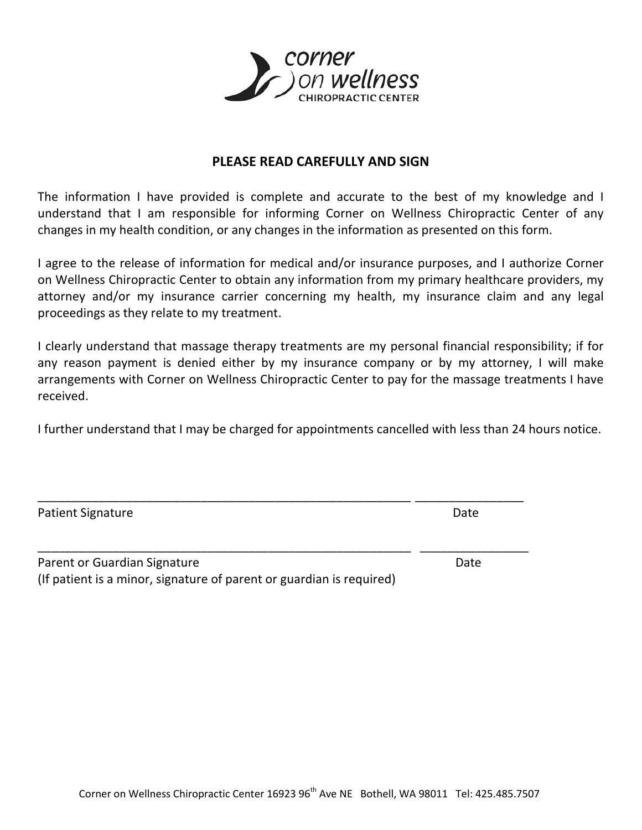

# **PLEASE READ CAREFULLY AND SIGN**

The information I have provided is complete and accurate to the best of my knowledge and I understand that I am responsible for informing Corner on Wellness Chiropractic Center of any changes in my health condition, or any changes in the information as presented on this form.

I agree to the release of information for medical and/or insurance purposes, and I authorize Corner on Wellness Chiropractic Center to obtain any information from my primary healthcare providers, my attorney and/or my insurance carrier concerning my health, my insurance claim and any legal proceedings as they relate to my treatment.

I clearly understand that massage therapy treatments are my personal financial responsibility; if for any reason payment is denied either by my insurance company or by my attorney, I will make arrangements with Corner on Wellness Chiropractic Center to pay for the massage treatments I have received.

I further understand that I may be charged for appointments cancelled with less than 24 hours notice.

\_\_\_\_\_\_\_\_\_\_\_\_\_\_\_\_\_\_\_\_\_\_\_\_\_\_\_\_\_\_\_\_\_\_\_\_\_\_\_\_\_\_\_\_\_\_\_\_\_\_\_\_\_\_\_ \_\_\_\_\_\_\_\_\_\_\_\_\_\_\_\_

\_\_\_\_\_\_\_\_\_\_\_\_\_\_\_\_\_\_\_\_\_\_\_\_\_\_\_\_\_\_\_\_\_\_\_\_\_\_\_\_\_\_\_\_\_\_\_\_\_\_\_\_\_\_\_ \_\_\_\_\_\_\_\_\_\_\_\_\_\_\_\_

| <b>Patient Signature</b> | Date |
|--------------------------|------|
|--------------------------|------|

| Parent or Guardian Signature                                         | Date |
|----------------------------------------------------------------------|------|
| (If patient is a minor, signature of parent or guardian is required) |      |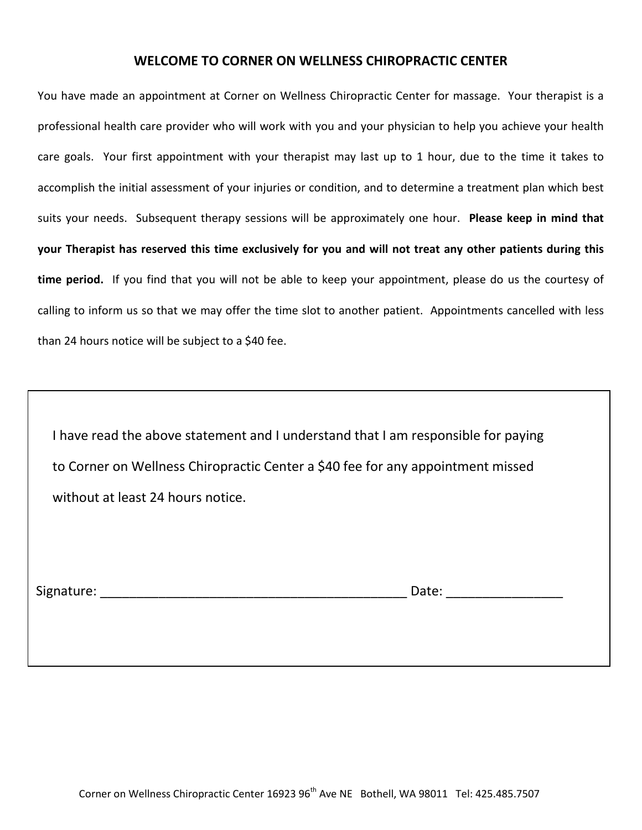### **WELCOME TO CORNER ON WELLNESS CHIROPRACTIC CENTER**

You have made an appointment at Corner on Wellness Chiropractic Center for massage. Your therapist is a professional health care provider who will work with you and your physician to help you achieve your health care goals. Your first appointment with your therapist may last up to 1 hour, due to the time it takes to accomplish the initial assessment of your injuries or condition, and to determine a treatment plan which best suits your needs. Subsequent therapy sessions will be approximately one hour. **Please keep in mind that your Therapist has reserved this time exclusively for you and will not treat any other patients during this time period.** If you find that you will not be able to keep your appointment, please do us the courtesy of calling to inform us so that we may offer the time slot to another patient. Appointments cancelled with less than 24 hours notice will be subject to a \$40 fee.

 I have read the above statement and I understand that I am responsible for paying to Corner on Wellness Chiropractic Center a \$40 fee for any appointment missed without at least 24 hours notice.

Signature: \_\_\_\_\_\_\_\_\_\_\_\_\_\_\_\_\_\_\_\_\_\_\_\_\_\_\_\_\_\_\_\_\_\_\_\_\_\_\_\_\_\_ Date: \_\_\_\_\_\_\_\_\_\_\_\_\_\_\_\_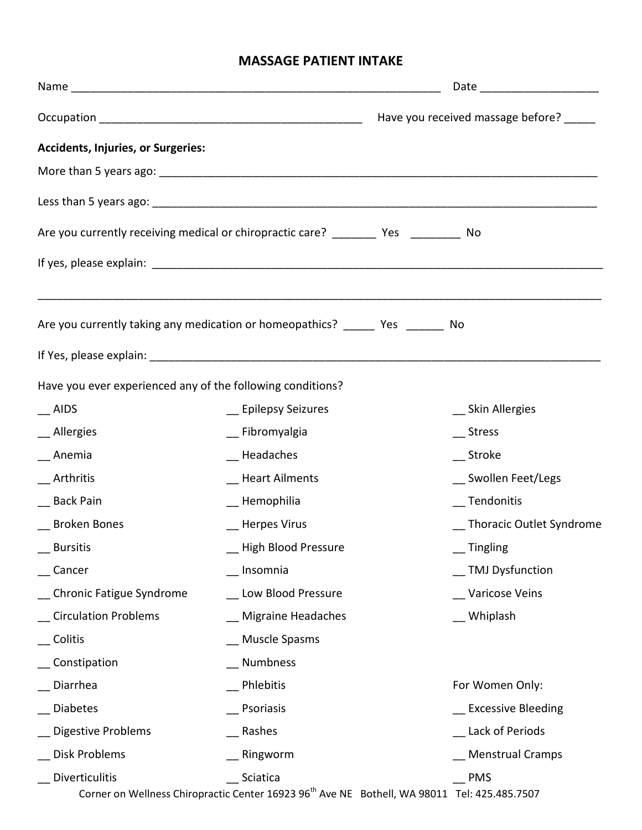# **MASSAGE PATIENT INTAKE**

| <b>Accidents, Injuries, or Surgeries:</b>                  |                                                                                                                      |                            |  |  |
|------------------------------------------------------------|----------------------------------------------------------------------------------------------------------------------|----------------------------|--|--|
|                                                            |                                                                                                                      |                            |  |  |
|                                                            |                                                                                                                      |                            |  |  |
|                                                            | Are you currently receiving medical or chiropractic care? _________ Yes _________ No                                 |                            |  |  |
|                                                            |                                                                                                                      |                            |  |  |
|                                                            | Are you currently taking any medication or homeopathics? _______ Yes _______ No                                      |                            |  |  |
|                                                            |                                                                                                                      |                            |  |  |
| Have you ever experienced any of the following conditions? |                                                                                                                      |                            |  |  |
| $\equiv$ AIDS                                              | __ Epilepsy Seizures                                                                                                 | __ Skin Allergies          |  |  |
| _ Allergies                                                | __ Fibromyalgia                                                                                                      | Stress                     |  |  |
| $\_$ Anemia                                                | __ Headaches                                                                                                         | __ Stroke                  |  |  |
| Arthritis                                                  | <b>Heart Ailments</b>                                                                                                | __ Swollen Feet/Legs       |  |  |
| _ Back Pain                                                | __ Hemophilia                                                                                                        | Tendonitis                 |  |  |
| _ Broken Bones                                             | __ Herpes Virus                                                                                                      | _ Thoracic Outlet Syndrome |  |  |
| _ Bursitis                                                 | _ High Blood Pressure                                                                                                |                            |  |  |
| Cancer                                                     | __ Insomnia                                                                                                          | _ TMJ Dysfunction          |  |  |
| _ Chronic Fatigue Syndrome                                 | __ Low Blood Pressure                                                                                                | Varicose Veins             |  |  |
| Circulation Problems                                       | __ Migraine Headaches                                                                                                | Whiplash                   |  |  |
| Colitis                                                    | __ Muscle Spasms                                                                                                     |                            |  |  |
| Constipation                                               | _ Numbness                                                                                                           |                            |  |  |
| Diarrhea                                                   | Phlebitis                                                                                                            | For Women Only:            |  |  |
| <b>Diabetes</b>                                            | Psoriasis                                                                                                            | __ Excessive Bleeding      |  |  |
| Digestive Problems                                         | __ Rashes                                                                                                            | Lack of Periods            |  |  |
| Disk Problems                                              | Ringworm                                                                                                             | <b>Menstrual Cramps</b>    |  |  |
| <b>Diverticulitis</b>                                      | Sciatica<br>Corner on Wellness Chiropractic Center 16923 96 <sup>th</sup> Ave NE Bothell, WA 98011 Tel: 425.485.7507 | <b>PMS</b>                 |  |  |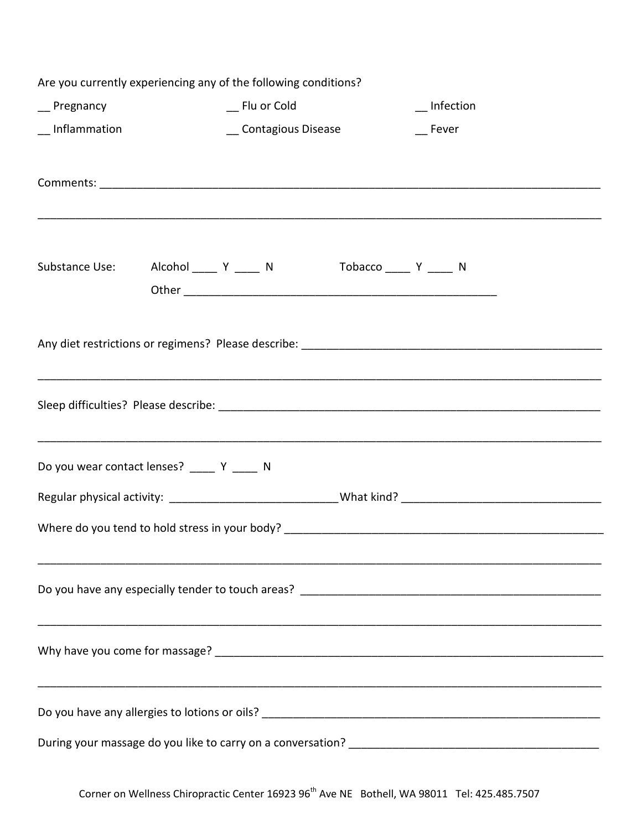| Are you currently experiencing any of the following conditions? |                                                        |                                                                                                                                                                      |  |  |  |
|-----------------------------------------------------------------|--------------------------------------------------------|----------------------------------------------------------------------------------------------------------------------------------------------------------------------|--|--|--|
| _ Pregnancy                                                     | __ Flu or Cold                                         | $\overline{\phantom{a}}$ Infection                                                                                                                                   |  |  |  |
| _Inflammation                                                   | _ Contagious Disease                                   | Fever                                                                                                                                                                |  |  |  |
|                                                                 |                                                        |                                                                                                                                                                      |  |  |  |
|                                                                 |                                                        |                                                                                                                                                                      |  |  |  |
|                                                                 |                                                        |                                                                                                                                                                      |  |  |  |
|                                                                 |                                                        |                                                                                                                                                                      |  |  |  |
| Substance Use:                                                  | Alcohol ______ Y ______ N      Tobacco _____ Y _____ N |                                                                                                                                                                      |  |  |  |
|                                                                 |                                                        |                                                                                                                                                                      |  |  |  |
|                                                                 |                                                        |                                                                                                                                                                      |  |  |  |
|                                                                 |                                                        |                                                                                                                                                                      |  |  |  |
|                                                                 |                                                        |                                                                                                                                                                      |  |  |  |
|                                                                 |                                                        | ,我们就会在这里的人,我们就会在这里的人,我们就会在这里的人,我们就会在这里的人,我们就会在这里的人,我们就会在这里的人,我们就会在这里的人,我们就会在这里,我<br>第251章 我们的人,我们就会在这里的人,我们就会在这里的人,我们就会在这里的人,我们就会在这里的人,我们就会在这里的人,我们就会在这里的人,我们就会在这里,我 |  |  |  |
|                                                                 |                                                        |                                                                                                                                                                      |  |  |  |
|                                                                 |                                                        |                                                                                                                                                                      |  |  |  |
|                                                                 | Do you wear contact lenses? _____ Y ____ N             |                                                                                                                                                                      |  |  |  |
|                                                                 |                                                        |                                                                                                                                                                      |  |  |  |
|                                                                 |                                                        |                                                                                                                                                                      |  |  |  |
|                                                                 |                                                        |                                                                                                                                                                      |  |  |  |
|                                                                 |                                                        |                                                                                                                                                                      |  |  |  |
|                                                                 |                                                        |                                                                                                                                                                      |  |  |  |
|                                                                 |                                                        |                                                                                                                                                                      |  |  |  |
|                                                                 |                                                        |                                                                                                                                                                      |  |  |  |
|                                                                 |                                                        |                                                                                                                                                                      |  |  |  |
|                                                                 |                                                        |                                                                                                                                                                      |  |  |  |
|                                                                 |                                                        |                                                                                                                                                                      |  |  |  |
|                                                                 |                                                        |                                                                                                                                                                      |  |  |  |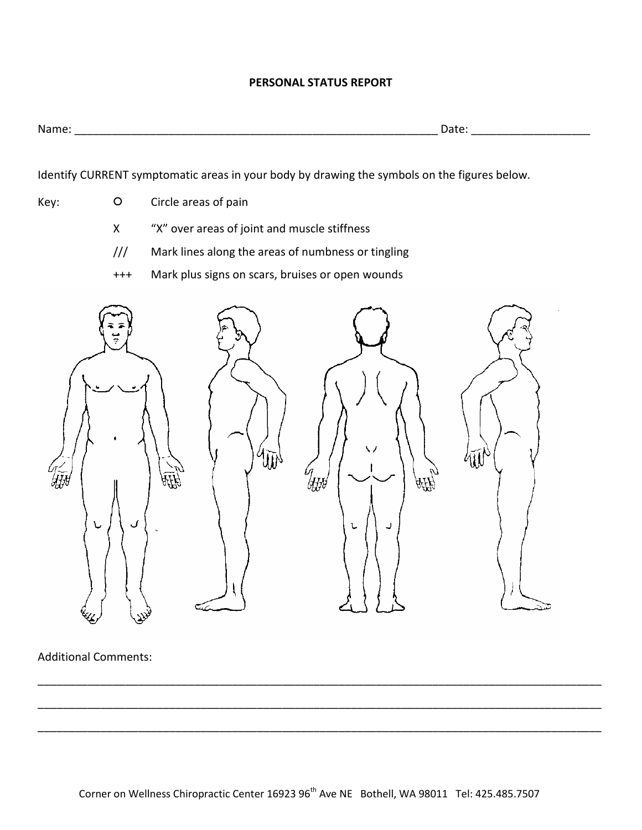### **PERSONAL STATUS REPORT**

| N<br>. | ___ |  |
|--------|-----|--|
|        |     |  |

Identify CURRENT symptomatic areas in your body by drawing the symbols on the figures below.

- Key: **O** Circle areas of pain
	- X "X" over areas of joint and muscle stiffness
	- /// Mark lines along the areas of numbness or tingling
	- +++ Mark plus signs on scars, bruises or open wounds



Additional Comments:

\_\_\_\_\_\_\_\_\_\_\_\_\_\_\_\_\_\_\_\_\_\_\_\_\_\_\_\_\_\_\_\_\_\_\_\_\_\_\_\_\_\_\_\_\_\_\_\_\_\_\_\_\_\_\_\_\_\_\_\_\_\_\_\_\_\_\_\_\_\_\_\_\_\_\_\_\_\_\_\_\_\_\_\_\_\_\_\_\_\_

\_\_\_\_\_\_\_\_\_\_\_\_\_\_\_\_\_\_\_\_\_\_\_\_\_\_\_\_\_\_\_\_\_\_\_\_\_\_\_\_\_\_\_\_\_\_\_\_\_\_\_\_\_\_\_\_\_\_\_\_\_\_\_\_\_\_\_\_\_\_\_\_\_\_\_\_\_\_\_\_\_\_\_\_\_\_\_\_\_\_

\_\_\_\_\_\_\_\_\_\_\_\_\_\_\_\_\_\_\_\_\_\_\_\_\_\_\_\_\_\_\_\_\_\_\_\_\_\_\_\_\_\_\_\_\_\_\_\_\_\_\_\_\_\_\_\_\_\_\_\_\_\_\_\_\_\_\_\_\_\_\_\_\_\_\_\_\_\_\_\_\_\_\_\_\_\_\_\_\_\_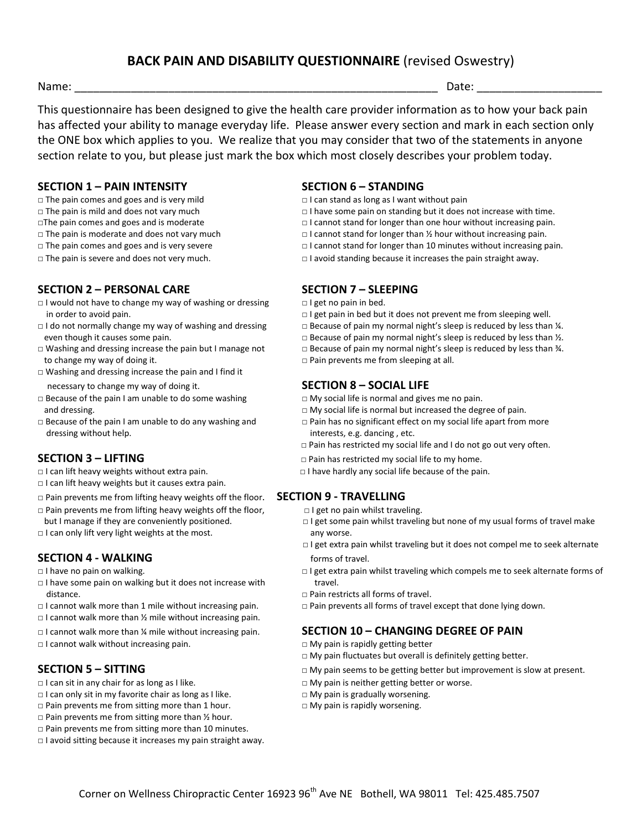# **BACK PAIN AND DISABILITY QUESTIONNAIRE** (revised Oswestry)

Name: \_\_\_\_\_\_\_\_\_\_\_\_\_\_\_\_\_\_\_\_\_\_\_\_\_\_\_\_\_\_\_\_\_\_\_\_\_\_\_\_\_\_\_\_\_\_\_\_\_\_\_\_\_\_\_\_\_\_ Date: \_\_\_\_\_\_\_\_\_\_\_\_\_\_\_\_\_\_\_\_

This questionnaire has been designed to give the health care provider information as to how your back pain has affected your ability to manage everyday life. Please answer every section and mark in each section only the ONE box which applies to you. We realize that you may consider that two of the statements in anyone section relate to you, but please just mark the box which most closely describes your problem today.

### **SECTION 1 – PAIN INTENSITY SECTION 6 – STANDING**

- □ The pain comes and goes and is very mild □ I can stand as long as I want without pain
- 
- 
- 
- 
- 

### **SECTION 2 – PERSONAL CARE SECTION 7 – SLEEPING**

- □ I would not have to change my way of washing or dressing □ I get no pain in bed.
- 
- to change my way of doing it. □ Pain prevents me from sleeping at all.
- □ Washing and dressing increase the pain and I find it
- □ Because of the pain I am unable to do some washing □ My social life is normal and gives me no pain.
- dressing without help. interests, e.g. dancing, etc.

- 
- □ I can lift heavy weights but it causes extra pain.
- □ Pain prevents me from lifting heavy weights off the floor. **SECTION 9 - TRAVELLING**
- □ Pain prevents me from lifting heavy weights off the floor, □ I get no pain whilst traveling.
- 
- $\Box$  I can only lift very light weights at the most.  $\Box$  any worse.

### **SECTION 4 - WALKING forms** of travel.

- 
- $\Box$  I have some pain on walking but it does not increase with travel. distance. □ Pain restricts all forms of travel.
- 
- □ I cannot walk more than ½ mile without increasing pain.
- 
- □ I cannot walk without increasing pain. ■ ■ ■ ■ My pain is rapidly getting better

- □ I can sit in any chair for as long as I like. □ My pain is neither getting better or worse.
- $\Box$  I can only sit in my favorite chair as long as I like.  $\Box$  My pain is gradually worsening.
- $\square$  Pain prevents me from sitting more than 1 hour.  $\square$  My pain is rapidly worsening.
- $\Box$  Pain prevents me from sitting more than  $\frac{1}{2}$  hour.
- □ Pain prevents me from sitting more than 10 minutes.
- $\Box$  I avoid sitting because it increases my pain straight away.

- 
- □ The pain is mild and does not vary much □ I have some pain on standing but it does not increase with time.
- □The pain comes and goes and is moderate □ I cannot stand for longer than one hour without increasing pain.
- □ The pain is moderate and does not vary much □ I cannot stand for longer than ½ hour without increasing pain.
- □ The pain comes and goes and is very severe □ I cannot stand for longer than 10 minutes without increasing pain.
- □ The pain is severe and does not very much. □ I avoid standing because it increases the pain straight away.

- in order to avoid pain. □ I get pain in bed but it does not prevent me from sleeping well.
- □ I do not normally change my way of washing and dressing □ Because of pain my normal night's sleep is reduced by less than ¼.
	- even though it causes some pain. □ □ Because of pain my normal night's sleep is reduced by less than ½.
- □ Washing and dressing increase the pain but I manage not □ Because of pain my normal night's sleep is reduced by less than ¾.
	-

### necessary to change my way of doing it. **SECTION 8 – SOCIAL LIFE**

- 
- and dressing. □ My social life is normal but increased the degree of pain.
- □ Because of the pain I am unable to do any washing and □ Pain has no significant effect on my social life apart from more
	- $\Box$  Pain has restricted my social life and I do not go out very often.
- **SECTION 3 − LIFTING OBSECTION 3** − LIFTING **Department of the COVID-** pain has restricted my social life to my home.
- □ I can lift heavy weights without extra pain. □ I have hardly any social life because of the pain.

- 
- but I manage if they are conveniently positioned. □ I get some pain whilst traveling but none of my usual forms of travel make
	- □ I get extra pain whilst traveling but it does not compel me to seek alternate
- □ I have no pain on walking. □ I get extra pain whilst traveling which compels me to seek alternate forms of
	-
- □ I cannot walk more than 1 mile without increasing pain. □ Pain prevents all forms of travel except that done lying down.

### □ I cannot walk more than ¼ mile without increasing pain. **SECTION 10 – CHANGING DEGREE OF PAIN**

- 
- □ My pain fluctuates but overall is definitely getting better.
- **SECTION 5 SITTING** □ △ □ △ □ △ □ My pain seems to be getting better but improvement is slow at present.
	-
	-
	-